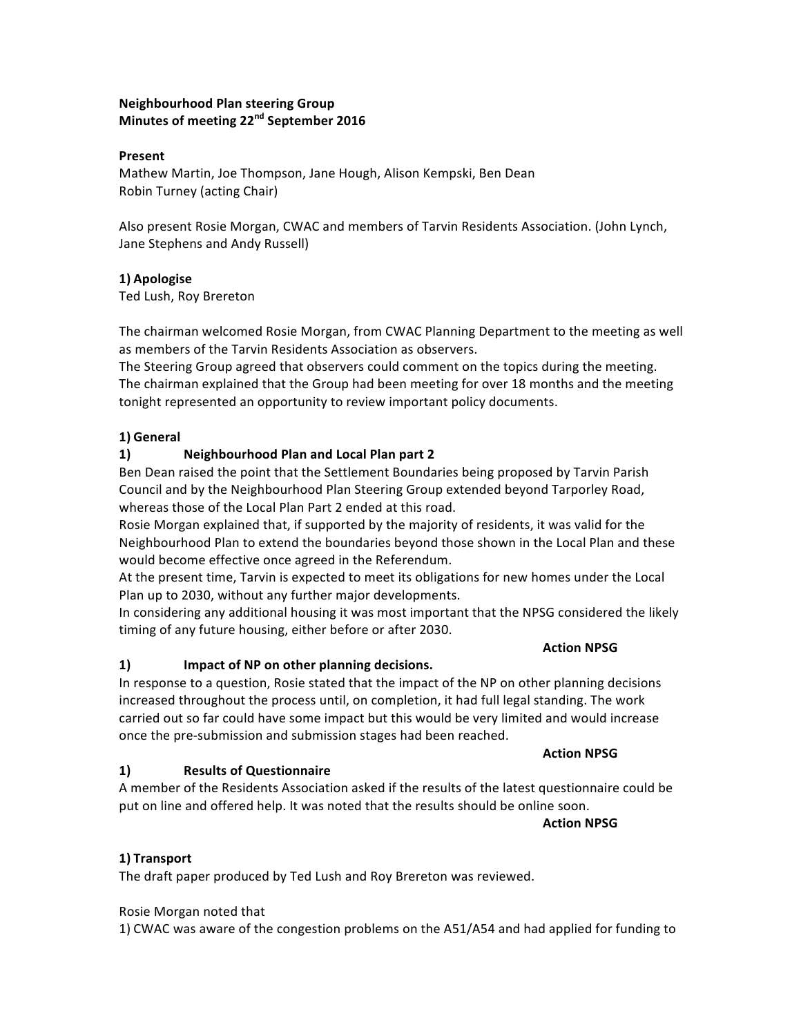# **Neighbourhood Plan steering Group Minutes of meeting 22<sup>nd</sup> September 2016**

#### **Present**

Mathew Martin, Joe Thompson, Jane Hough, Alison Kempski, Ben Dean Robin Turney (acting Chair)

Also present Rosie Morgan, CWAC and members of Tarvin Residents Association. (John Lynch, Jane Stephens and Andy Russell)

# **1) Apologise**

Ted Lush, Roy Brereton

The chairman welcomed Rosie Morgan, from CWAC Planning Department to the meeting as well as members of the Tarvin Residents Association as observers.

The Steering Group agreed that observers could comment on the topics during the meeting. The chairman explained that the Group had been meeting for over 18 months and the meeting tonight represented an opportunity to review important policy documents.

#### **1) General**

# **1) Neighbourhood Plan and Local Plan part 2**

Ben Dean raised the point that the Settlement Boundaries being proposed by Tarvin Parish Council and by the Neighbourhood Plan Steering Group extended beyond Tarporley Road, whereas those of the Local Plan Part 2 ended at this road.

Rosie Morgan explained that, if supported by the majority of residents, it was valid for the Neighbourhood Plan to extend the boundaries beyond those shown in the Local Plan and these would become effective once agreed in the Referendum.

At the present time, Tarvin is expected to meet its obligations for new homes under the Local Plan up to 2030, without any further major developments.

In considering any additional housing it was most important that the NPSG considered the likely timing of any future housing, either before or after 2030.

### **Action NPSG**

# 1) **Impact of NP** on other planning decisions.

In response to a question, Rosie stated that the impact of the NP on other planning decisions increased throughout the process until, on completion, it had full legal standing. The work carried out so far could have some impact but this would be very limited and would increase once the pre-submission and submission stages had been reached.

# **Action NPSG**

# **1) Results of Questionnaire**

A member of the Residents Association asked if the results of the latest questionnaire could be put on line and offered help. It was noted that the results should be online soon.

# **Action NPSG**

# **1) Transport**

The draft paper produced by Ted Lush and Roy Brereton was reviewed.

# Rosie Morgan noted that

1) CWAC was aware of the congestion problems on the A51/A54 and had applied for funding to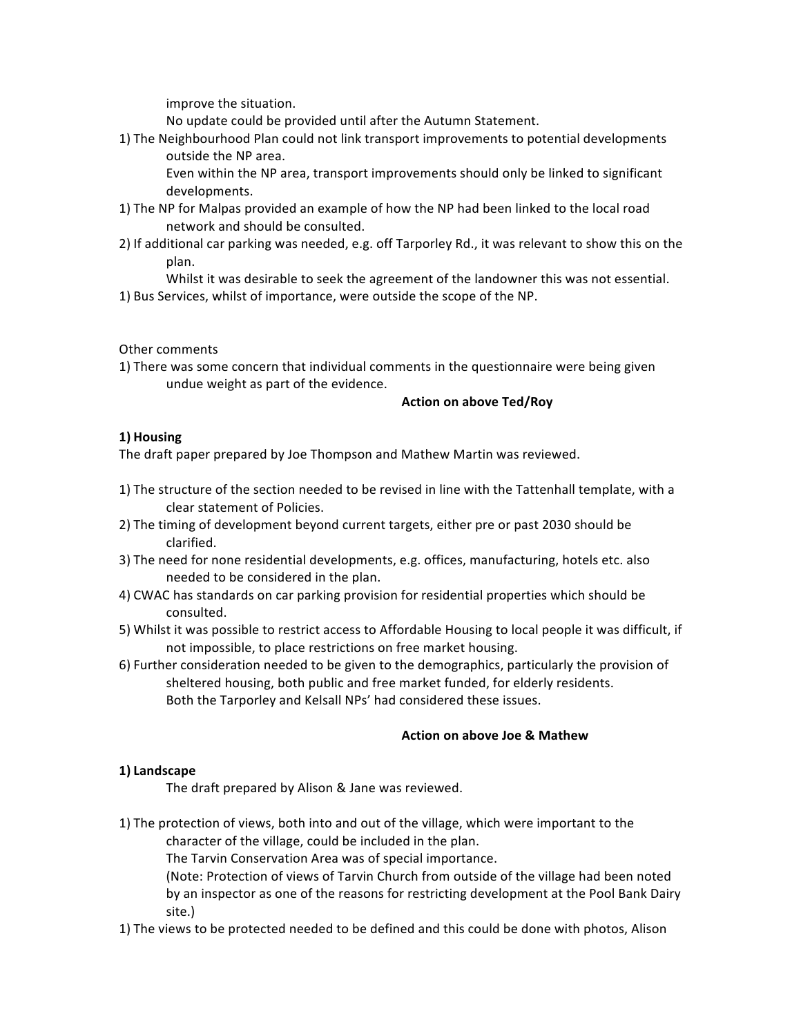improve the situation.

No update could be provided until after the Autumn Statement.

1) The Neighbourhood Plan could not link transport improvements to potential developments outside the NP area.

Even within the NP area, transport improvements should only be linked to significant developments.

- 1) The NP for Malpas provided an example of how the NP had been linked to the local road network and should be consulted.
- 2) If additional car parking was needed, e.g. off Tarporley Rd., it was relevant to show this on the plan.

Whilst it was desirable to seek the agreement of the landowner this was not essential. 1) Bus Services, whilst of importance, were outside the scope of the NP.

Other comments

1) There was some concern that individual comments in the questionnaire were being given undue weight as part of the evidence.

#### **Action on above Ted/Roy**

# **1) Housing**

The draft paper prepared by Joe Thompson and Mathew Martin was reviewed.

- 1) The structure of the section needed to be revised in line with the Tattenhall template, with a clear statement of Policies.
- 2) The timing of development beyond current targets, either pre or past 2030 should be clarified.
- 3) The need for none residential developments, e.g. offices, manufacturing, hotels etc. also needed to be considered in the plan.
- 4) CWAC has standards on car parking provision for residential properties which should be consulted.
- 5) Whilst it was possible to restrict access to Affordable Housing to local people it was difficult, if not impossible, to place restrictions on free market housing.
- 6) Further consideration needed to be given to the demographics, particularly the provision of sheltered housing, both public and free market funded, for elderly residents. Both the Tarporley and Kelsall NPs' had considered these issues.

# **Action on above Joe & Mathew**

# **1) Landscape**

The draft prepared by Alison & Jane was reviewed.

1) The protection of views, both into and out of the village, which were important to the character of the village, could be included in the plan.

The Tarvin Conservation Area was of special importance.

(Note: Protection of views of Tarvin Church from outside of the village had been noted by an inspector as one of the reasons for restricting development at the Pool Bank Dairy site.) 

1) The views to be protected needed to be defined and this could be done with photos, Alison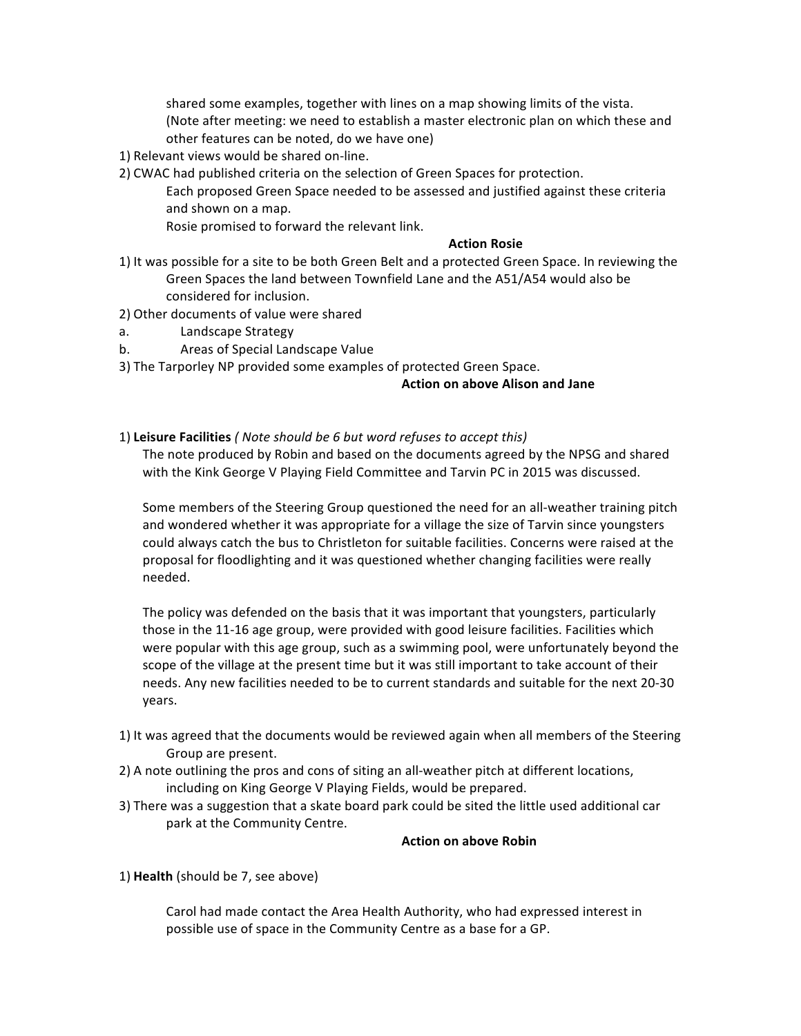shared some examples, together with lines on a map showing limits of the vista. (Note after meeting: we need to establish a master electronic plan on which these and other features can be noted, do we have one)

- 1) Relevant views would be shared on-line.
- 2) CWAC had published criteria on the selection of Green Spaces for protection.

Each proposed Green Space needed to be assessed and justified against these criteria and shown on a map.

Rosie promised to forward the relevant link.

#### **Action Rosie**

- 1) It was possible for a site to be both Green Belt and a protected Green Space. In reviewing the Green Spaces the land between Townfield Lane and the A51/A54 would also be considered for inclusion.
- 2) Other documents of value were shared
- a. Landscape Strategy
- b. Areas of Special Landscape Value
- 3) The Tarporley NP provided some examples of protected Green Space.

#### **Action on above Alison and Jane**

#### 1) Leisure Facilities (*Note should be 6 but word refuses to accept this*)

The note produced by Robin and based on the documents agreed by the NPSG and shared with the Kink George V Playing Field Committee and Tarvin PC in 2015 was discussed.

Some members of the Steering Group questioned the need for an all-weather training pitch and wondered whether it was appropriate for a village the size of Tarvin since youngsters could always catch the bus to Christleton for suitable facilities. Concerns were raised at the proposal for floodlighting and it was questioned whether changing facilities were really needed.

The policy was defended on the basis that it was important that youngsters, particularly those in the 11-16 age group, were provided with good leisure facilities. Facilities which were popular with this age group, such as a swimming pool, were unfortunately beyond the scope of the village at the present time but it was still important to take account of their needs. Any new facilities needed to be to current standards and suitable for the next 20-30 years.

- 1) It was agreed that the documents would be reviewed again when all members of the Steering Group are present.
- 2) A note outlining the pros and cons of siting an all-weather pitch at different locations, including on King George V Playing Fields, would be prepared.
- 3) There was a suggestion that a skate board park could be sited the little used additional car park at the Community Centre.

#### **Action on above Robin**

#### 1) Health (should be 7, see above)

Carol had made contact the Area Health Authority, who had expressed interest in possible use of space in the Community Centre as a base for a GP.